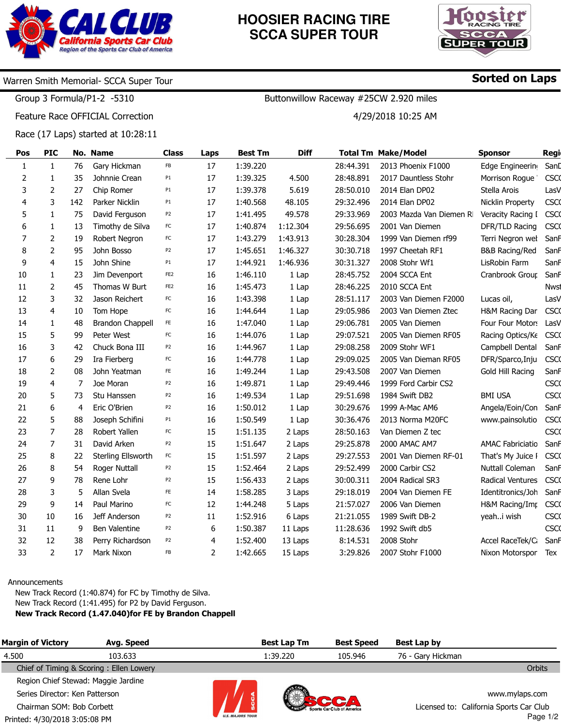

## **HOOSIER RACING TIRE SCCA SUPER TOUR**



Sorted on Laps

## Warren Smith Memorial- SCCA Super Tour

Group 3 Formula/P1-2 -5310

Feature Race OFFICIAL Correction

Race (17 Laps) started at 10:28:11

| Pos            | <b>PIC</b>     |     | No. Name                | <b>Class</b>    | Laps           | <b>Best Tm</b> | <b>Diff</b> |           | <b>Total Tm Make/Model</b> | <b>Sponsor</b>          | Regi        |
|----------------|----------------|-----|-------------------------|-----------------|----------------|----------------|-------------|-----------|----------------------------|-------------------------|-------------|
| 1              | $\mathbf{1}$   | 76  | Gary Hickman            | FB              | 17             | 1:39.220       |             | 28:44.391 | 2013 Phoenix F1000         | Edge Engineering        | SanD        |
| $\overline{2}$ | 1              | 35  | Johnnie Crean           | P1              | 17             | 1:39.325       | 4.500       | 28:48.891 | 2017 Dauntless Stohr       | Morrison Rogue          | <b>CSCO</b> |
| 3              | 2              | 27  | Chip Romer              | P <sub>1</sub>  | 17             | 1:39.378       | 5.619       | 28:50.010 | 2014 Elan DP02             | Stella Arois            | LasV        |
| 4              | 3              | 142 | Parker Nicklin          | P1              | 17             | 1:40.568       | 48.105      | 29:32.496 | 2014 Elan DP02             | Nicklin Property        | <b>CSCO</b> |
| 5              | $\mathbf{1}$   | 75  | David Ferguson          | P <sub>2</sub>  | 17             | 1:41.495       | 49.578      | 29:33.969 | 2003 Mazda Van Diemen RI   | Veracity Racing I       | <b>CSCO</b> |
| 6              | $\mathbf{1}$   | 13  | Timothy de Silva        | FC              | 17             | 1:40.874       | 1:12.304    | 29:56.695 | 2001 Van Diemen            | DFR/TLD Racing          | <b>CSCO</b> |
| 7              | $\overline{2}$ | 19  | Robert Negron           | FC              | 17             | 1:43.279       | 1:43.913    | 30:28.304 | 1999 Van Diemen rf99       | Terri Negron wel        | SanF        |
| 8              | 2              | 95  | John Bosso              | P <sub>2</sub>  | 17             | 1:45.651       | 1:46.327    | 30:30.718 | 1997 Cheetah RF1           | B&B Racing/Red          | SanF        |
| 9              | 4              | 15  | John Shine              | P1              | 17             | 1:44.921       | 1:46.936    | 30:31.327 | 2008 Stohr Wf1             | LisRobin Farm           | SanF        |
| 10             | 1              | 23  | Jim Devenport           | FE <sub>2</sub> | 16             | 1:46.110       | 1 Lap       | 28:45.752 | 2004 SCCA Ent              | Cranbrook Group         | SanF        |
| 11             | $\overline{2}$ | 45  | Thomas W Burt           | FE <sub>2</sub> | 16             | 1:45.473       | 1 Lap       | 28:46.225 | 2010 SCCA Ent              |                         | <b>Nwst</b> |
| 12             | 3              | 32  | Jason Reichert          | FC              | 16             | 1:43.398       | 1 Lap       | 28:51.117 | 2003 Van Diemen F2000      | Lucas oil,              | LasV        |
| 13             | 4              | 10  | Tom Hope                | ${\sf FC}$      | 16             | 1:44.644       | 1 Lap       | 29:05.986 | 2003 Van Diemen Ztec       | H&M Racing Dar          | <b>CSCO</b> |
| 14             | 1              | 48  | <b>Brandon Chappell</b> | FE.             | 16             | 1:47.040       | 1 Lap       | 29:06.781 | 2005 Van Diemen            | Four Four Motors        | LasV        |
| 15             | 5              | 99  | Peter West              | FC              | 16             | 1:44.076       | 1 Lap       | 29:07.521 | 2005 Van Diemen RF05       | Racing Optics/Ke        | <b>CSCO</b> |
| 16             | 3              | 42  | Chuck Bona III          | P <sub>2</sub>  | 16             | 1:44.967       | 1 Lap       | 29:08.258 | 2009 Stohr WF1             | Campbell Dental         | SanF        |
| 17             | 6              | 29  | Ira Fierberg            | FC              | 16             | 1:44.778       | 1 Lap       | 29:09.025 | 2005 Van Dieman RF05       | DFR/Sparco, Inju        | <b>CSCO</b> |
| 18             | 2              | 08  | John Yeatman            | FE              | 16             | 1:49.244       | 1 Lap       | 29:43.508 | 2007 Van Diemen            | Gold Hill Racing        | SanF        |
| 19             | 4              | 7   | Joe Moran               | P <sub>2</sub>  | 16             | 1:49.871       | 1 Lap       | 29:49.446 | 1999 Ford Carbir CS2       |                         | <b>CSCO</b> |
| 20             | 5              | 73  | Stu Hanssen             | P <sub>2</sub>  | 16             | 1:49.534       | 1 Lap       | 29:51.698 | 1984 Swift DB2             | <b>BMI USA</b>          | <b>CSCO</b> |
| 21             | 6              | 4   | Eric O'Brien            | P <sub>2</sub>  | 16             | 1:50.012       | 1 Lap       | 30:29.676 | 1999 A-Mac AM6             | Angela/Eoin/Con         | SanF        |
| 22             | 5              | 88  | Joseph Schifini         | P1              | 16             | 1:50.549       | 1 Lap       | 30:36.476 | 2013 Norma M20FC           | www.painsolutio         | <b>CSCO</b> |
| 23             | 7              | 28  | Robert Yallen           | FC              | 15             | 1:51.135       | 2 Laps      | 28:50.163 | Van Diemen Z tec           |                         | <b>CSCO</b> |
| 24             | 7              | 31  | David Arken             | P <sub>2</sub>  | 15             | 1:51.647       | 2 Laps      | 29:25.878 | 2000 AMAC AM7              | <b>AMAC Fabriciatio</b> | SanF        |
| 25             | 8              | 22  | Sterling Ellsworth      | FC              | 15             | 1:51.597       | 2 Laps      | 29:27.553 | 2001 Van Diemen RF-01      | That's My Juice I       | <b>CSCO</b> |
| 26             | 8              | 54  | Roger Nuttall           | P <sub>2</sub>  | 15             | 1:52.464       | 2 Laps      | 29:52.499 | 2000 Carbir CS2            | Nuttall Coleman         | SanF        |
| 27             | 9              | 78  | Rene Lohr               | P <sub>2</sub>  | 15             | 1:56.433       | 2 Laps      | 30:00.311 | 2004 Radical SR3           | Radical Ventures        | <b>CSCO</b> |
| 28             | 3              | 5   | Allan Svela             | FE              | 14             | 1:58.285       | 3 Laps      | 29:18.019 | 2004 Van Diemen FE         | Identitronics/Joh       | SanF        |
| 29             | 9              | 14  | Paul Marino             | FC              | 12             | 1:44.248       | 5 Laps      | 21:57.027 | 2006 Van Diemen            | H&M Racing/Imp          | <b>CSCO</b> |
| 30             | 10             | 16  | Jeff Anderson           | P <sub>2</sub>  | 11             | 1:52.916       | 6 Laps      | 21:21.055 | 1989 Swift DB-2            | yeahi wish              | <b>CSCO</b> |
| 31             | 11             | 9   | Ben Valentine           | P <sub>2</sub>  | 6              | 1:50.387       | 11 Laps     | 11:28.636 | 1992 Swift db5             |                         | <b>CSCO</b> |
| 32             | 12             | 38  | Perry Richardson        | P <sub>2</sub>  | 4              | 1:52.400       | 13 Laps     | 8:14.531  | 2008 Stohr                 | Accel RaceTek/C         | SanF        |
| 33             | $\overline{2}$ | 17  | Mark Nixon              | FB              | $\overline{2}$ | 1:42.665       | 15 Laps     | 3:29.826  | 2007 Stohr F1000           | Nixon Motorspor         | Tex         |

#### Announcements

New Track Record (1:40.874) for FC by Timothy de Silva. New Track Record (1:41.495) for P2 by David Ferguson. New Track Record (1.47.040)for FE by Brandon Chappell

| <b>Margin of Victory</b>            | Avg. Speed                              |                         | <b>Best Lap Tm</b> | <b>Best Speed</b>                 | Best Lap by       |                                         |
|-------------------------------------|-----------------------------------------|-------------------------|--------------------|-----------------------------------|-------------------|-----------------------------------------|
| 4.500                               | 103.633                                 |                         | 1:39.220           | 105.946                           | 76 - Gary Hickman |                                         |
|                                     | Chief of Timing & Scoring: Ellen Lowery |                         |                    |                                   |                   | <b>Orbits</b>                           |
| Region Chief Stewad: Maggie Jardine |                                         |                         |                    |                                   |                   |                                         |
| Series Director: Ken Patterson      |                                         |                         |                    |                                   |                   | www.mylaps.com                          |
| Chairman SOM: Bob Corbett           |                                         |                         |                    | <b>Sports Car Club of America</b> |                   | Licensed to: California Sports Car Club |
| Printed: 4/30/2018 3:05:08 PM       |                                         | <b>U.S. MAJORS TOUR</b> |                    |                                   |                   | Page 1/2                                |

Buttonwillow Raceway #25CW 2.920 miles

4/29/2018 10:25 AM